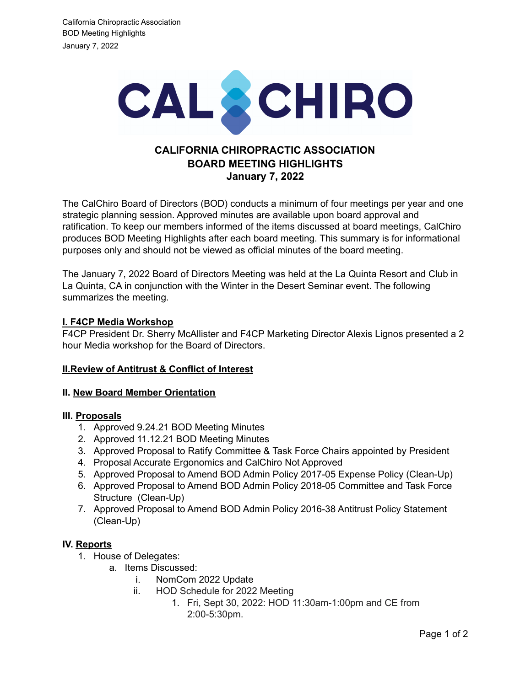

# **CALIFORNIA CHIROPRACTIC ASSOCIATION BOARD MEETING HIGHLIGHTS January 7, 2022**

The CalChiro Board of Directors (BOD) conducts a minimum of four meetings per year and one strategic planning session. Approved minutes are available upon board approval and ratification. To keep our members informed of the items discussed at board meetings, CalChiro produces BOD Meeting Highlights after each board meeting. This summary is for informational purposes only and should not be viewed as official minutes of the board meeting.

The January 7, 2022 Board of Directors Meeting was held at the La Quinta Resort and Club in La Quinta, CA in conjunction with the Winter in the Desert Seminar event. The following summarizes the meeting.

## **I. F4CP Media Workshop**

F4CP President Dr. Sherry McAllister and F4CP Marketing Director Alexis Lignos presented a 2 hour Media workshop for the Board of Directors.

### **II.Review of Antitrust & Conflict of Interest**

### **II. New Board Member Orientation**

### **III. Proposals**

- 1. Approved 9.24.21 BOD Meeting Minutes
- 2. Approved 11.12.21 BOD Meeting Minutes
- 3. Approved Proposal to Ratify Committee & Task Force Chairs appointed by President
- 4. Proposal Accurate Ergonomics and CalChiro Not Approved
- 5. Approved Proposal to Amend BOD Admin Policy 2017-05 Expense Policy (Clean-Up)
- 6. Approved Proposal to Amend BOD Admin Policy 2018-05 Committee and Task Force Structure (Clean-Up)
- 7. Approved Proposal to Amend BOD Admin Policy 2016-38 Antitrust Policy Statement (Clean-Up)

### **IV. Reports**

- 1. House of Delegates:
	- a. Items Discussed:
		- i. NomCom 2022 Update
		- ii. HOD Schedule for 2022 Meeting
			- 1. Fri, Sept 30, 2022: HOD 11:30am-1:00pm and CE from 2:00-5:30pm.